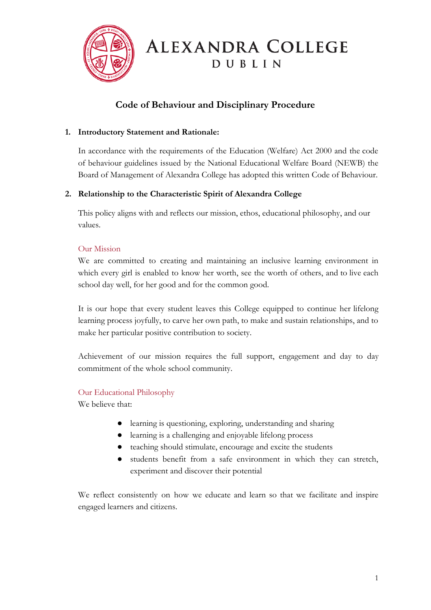

# ALEXANDRA COLLEGE DUBLIN

## **Code of Behaviour and Disciplinary Procedure**

## **1. Introductory Statement and Rationale:**

In accordance with the requirements of the Education (Welfare) Act 2000 and the code of behaviour guidelines issued by the National Educational Welfare Board (NEWB) the Board of Management of Alexandra College has adopted this written Code of Behaviour.

## **2. Relationship to the Characteristic Spirit of Alexandra College**

This policy aligns with and reflects our mission, ethos, educational philosophy, and our values.

## Our Mission

We are committed to creating and maintaining an inclusive learning environment in which every girl is enabled to know her worth, see the worth of others, and to live each school day well, for her good and for the common good.

It is our hope that every student leaves this College equipped to continue her lifelong learning process joyfully, to carve her own path, to make and sustain relationships, and to make her particular positive contribution to society.

Achievement of our mission requires the full support, engagement and day to day commitment of the whole school community.

## Our Educational Philosophy

We believe that:

- learning is questioning, exploring, understanding and sharing
- learning is a challenging and enjoyable lifelong process
- teaching should stimulate, encourage and excite the students
- students benefit from a safe environment in which they can stretch, experiment and discover their potential

We reflect consistently on how we educate and learn so that we facilitate and inspire engaged learners and citizens.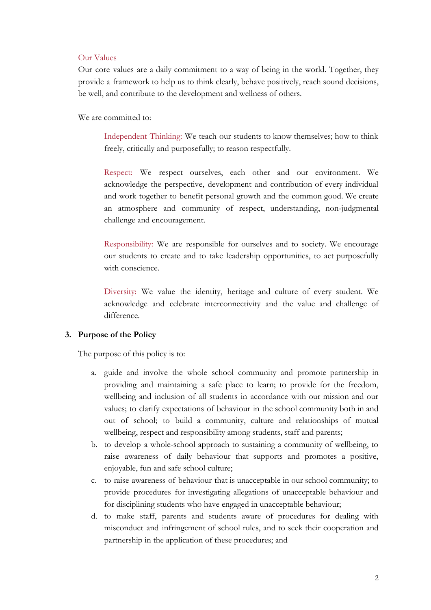#### Our Values

Our core values are a daily commitment to a way of being in the world. Together, they provide a framework to help us to think clearly, behave positively, reach sound decisions, be well, and contribute to the development and wellness of others.

We are committed to:

Independent Thinking: We teach our students to know themselves; how to think freely, critically and purposefully; to reason respectfully.

Respect: We respect ourselves, each other and our environment. We acknowledge the perspective, development and contribution of every individual and work together to benefit personal growth and the common good. We create an atmosphere and community of respect, understanding, non-judgmental challenge and encouragement.

Responsibility: We are responsible for ourselves and to society. We encourage our students to create and to take leadership opportunities, to act purposefully with conscience.

Diversity: We value the identity, heritage and culture of every student. We acknowledge and celebrate interconnectivity and the value and challenge of difference.

#### **3. Purpose of the Policy**

The purpose of this policy is to:

- a. guide and involve the whole school community and promote partnership in providing and maintaining a safe place to learn; to provide for the freedom, wellbeing and inclusion of all students in accordance with our mission and our values; to clarify expectations of behaviour in the school community both in and out of school; to build a community, culture and relationships of mutual wellbeing, respect and responsibility among students, staff and parents;
- b. to develop a whole-school approach to sustaining a community of wellbeing, to raise awareness of daily behaviour that supports and promotes a positive, enjoyable, fun and safe school culture;
- c. to raise awareness of behaviour that is unacceptable in our school community; to provide procedures for investigating allegations of unacceptable behaviour and for disciplining students who have engaged in unacceptable behaviour;
- d. to make staff, parents and students aware of procedures for dealing with misconduct and infringement of school rules, and to seek their cooperation and partnership in the application of these procedures; and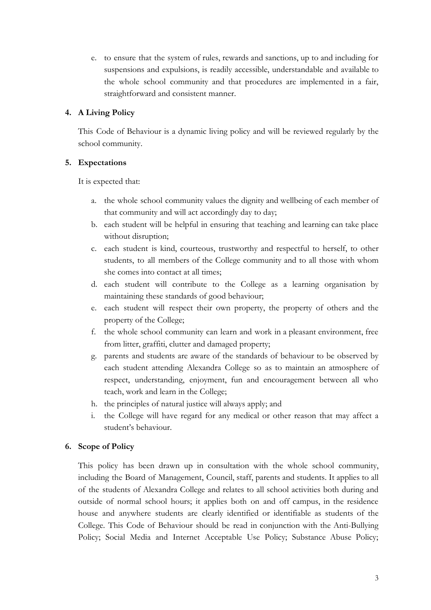e. to ensure that the system of rules, rewards and sanctions, up to and including for suspensions and expulsions, is readily accessible, understandable and available to the whole school community and that procedures are implemented in a fair, straightforward and consistent manner.

## **4. A Living Policy**

This Code of Behaviour is a dynamic living policy and will be reviewed regularly by the school community.

## **5. Expectations**

It is expected that:

- a. the whole school community values the dignity and wellbeing of each member of that community and will act accordingly day to day;
- b. each student will be helpful in ensuring that teaching and learning can take place without disruption;
- c. each student is kind, courteous, trustworthy and respectful to herself, to other students, to all members of the College community and to all those with whom she comes into contact at all times;
- d. each student will contribute to the College as a learning organisation by maintaining these standards of good behaviour;
- e. each student will respect their own property, the property of others and the property of the College;
- f. the whole school community can learn and work in a pleasant environment, free from litter, graffiti, clutter and damaged property;
- g. parents and students are aware of the standards of behaviour to be observed by each student attending Alexandra College so as to maintain an atmosphere of respect, understanding, enjoyment, fun and encouragement between all who teach, work and learn in the College;
- h. the principles of natural justice will always apply; and
- i. the College will have regard for any medical or other reason that may affect a student's behaviour.

## **6. Scope of Policy**

This policy has been drawn up in consultation with the whole school community, including the Board of Management, Council, staff, parents and students. It applies to all of the students of Alexandra College and relates to all school activities both during and outside of normal school hours; it applies both on and off campus, in the residence house and anywhere students are clearly identified or identifiable as students of the College. This Code of Behaviour should be read in conjunction with the Anti-Bullying Policy; Social Media and Internet Acceptable Use Policy; Substance Abuse Policy;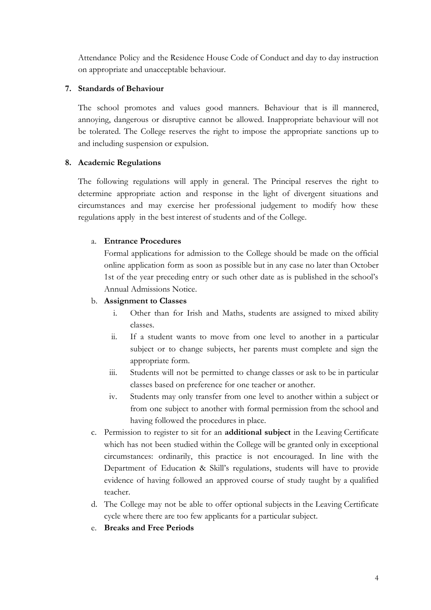Attendance Policy and the Residence House Code of Conduct and day to day instruction on appropriate and unacceptable behaviour.

#### **7. Standards of Behaviour**

The school promotes and values good manners. Behaviour that is ill mannered, annoying, dangerous or disruptive cannot be allowed. Inappropriate behaviour will not be tolerated. The College reserves the right to impose the appropriate sanctions up to and including suspension or expulsion.

#### **8. Academic Regulations**

The following regulations will apply in general. The Principal reserves the right to determine appropriate action and response in the light of divergent situations and circumstances and may exercise her professional judgement to modify how these regulations apply in the best interest of students and of the College.

#### a. **Entrance Procedures**

Formal applications for admission to the College should be made on the official online application form as soon as possible but in any case no later than October 1st of the year preceding entry or such other date as is published in the school's Annual Admissions Notice.

#### b. **Assignment to Classes**

- i. Other than for Irish and Maths, students are assigned to mixed ability classes.
- ii. If a student wants to move from one level to another in a particular subject or to change subjects, her parents must complete and sign the appropriate form.
- iii. Students will not be permitted to change classes or ask to be in particular classes based on preference for one teacher or another.
- iv. Students may only transfer from one level to another within a subject or from one subject to another with formal permission from the school and having followed the procedures in place.
- c. Permission to register to sit for an **additional subject** in the Leaving Certificate which has not been studied within the College will be granted only in exceptional circumstances: ordinarily, this practice is not encouraged. In line with the Department of Education & Skill's regulations, students will have to provide evidence of having followed an approved course of study taught by a qualified teacher.
- d. The College may not be able to offer optional subjects in the Leaving Certificate cycle where there are too few applicants for a particular subject.
- e. **Breaks and Free Periods**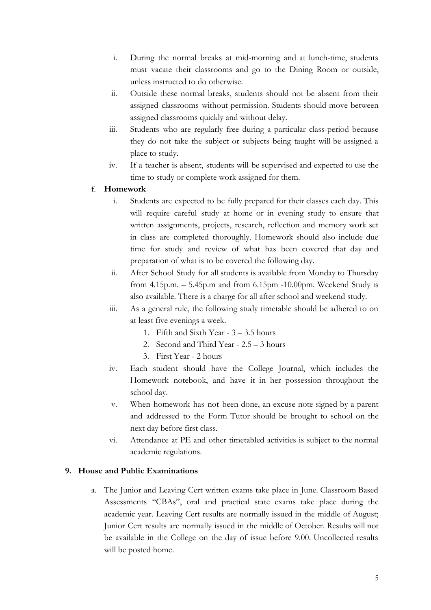- i. During the normal breaks at mid-morning and at lunch-time, students must vacate their classrooms and go to the Dining Room or outside, unless instructed to do otherwise.
- ii. Outside these normal breaks, students should not be absent from their assigned classrooms without permission. Students should move between assigned classrooms quickly and without delay.
- iii. Students who are regularly free during a particular class-period because they do not take the subject or subjects being taught will be assigned a place to study.
- iv. If a teacher is absent, students will be supervised and expected to use the time to study or complete work assigned for them.

## f. **Homework**

- i. Students are expected to be fully prepared for their classes each day. This will require careful study at home or in evening study to ensure that written assignments, projects, research, reflection and memory work set in class are completed thoroughly. Homework should also include due time for study and review of what has been covered that day and preparation of what is to be covered the following day.
- ii. After School Study for all students is available from Monday to Thursday from 4.15p.m. – 5.45p.m and from 6.15pm -10.00pm. Weekend Study is also available. There is a charge for all after school and weekend study.
- iii. As a general rule, the following study timetable should be adhered to on at least five evenings a week.
	- 1. Fifth and Sixth Year 3 3.5 hours
	- 2. Second and Third Year 2.5 3 hours
	- 3. First Year 2 hours
- iv. Each student should have the College Journal, which includes the Homework notebook, and have it in her possession throughout the school day.
- v. When homework has not been done, an excuse note signed by a parent and addressed to the Form Tutor should be brought to school on the next day before first class.
- vi. Attendance at PE and other timetabled activities is subject to the normal academic regulations.

## **9. House and Public Examinations**

a. The Junior and Leaving Cert written exams take place in June. Classroom Based Assessments "CBAs", oral and practical state exams take place during the academic year. Leaving Cert results are normally issued in the middle of August; Junior Cert results are normally issued in the middle of October. Results will not be available in the College on the day of issue before 9.00. Uncollected results will be posted home.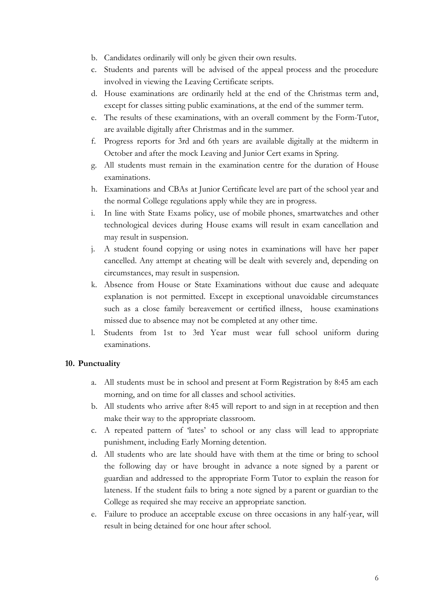- b. Candidates ordinarily will only be given their own results.
- c. Students and parents will be advised of the appeal process and the procedure involved in viewing the Leaving Certificate scripts.
- d. House examinations are ordinarily held at the end of the Christmas term and, except for classes sitting public examinations, at the end of the summer term.
- e. The results of these examinations, with an overall comment by the Form-Tutor, are available digitally after Christmas and in the summer.
- f. Progress reports for 3rd and 6th years are available digitally at the midterm in October and after the mock Leaving and Junior Cert exams in Spring.
- g. All students must remain in the examination centre for the duration of House examinations.
- h. Examinations and CBAs at Junior Certificate level are part of the school year and the normal College regulations apply while they are in progress.
- i. In line with State Exams policy, use of mobile phones, smartwatches and other technological devices during House exams will result in exam cancellation and may result in suspension.
- j. A student found copying or using notes in examinations will have her paper cancelled. Any attempt at cheating will be dealt with severely and, depending on circumstances, may result in suspension.
- k. Absence from House or State Examinations without due cause and adequate explanation is not permitted. Except in exceptional unavoidable circumstances such as a close family bereavement or certified illness, house examinations missed due to absence may not be completed at any other time.
- l. Students from 1st to 3rd Year must wear full school uniform during examinations.

#### **10. Punctuality**

- a. All students must be in school and present at Form Registration by 8:45 am each morning, and on time for all classes and school activities.
- b. All students who arrive after 8:45 will report to and sign in at reception and then make their way to the appropriate classroom.
- c. A repeated pattern of 'lates' to school or any class will lead to appropriate punishment, including Early Morning detention.
- d. All students who are late should have with them at the time or bring to school the following day or have brought in advance a note signed by a parent or guardian and addressed to the appropriate Form Tutor to explain the reason for lateness. If the student fails to bring a note signed by a parent or guardian to the College as required she may receive an appropriate sanction.
- e. Failure to produce an acceptable excuse on three occasions in any half-year, will result in being detained for one hour after school.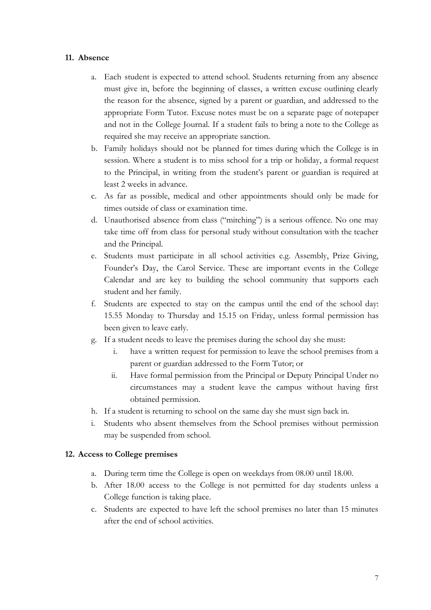#### **11. Absence**

- a. Each student is expected to attend school. Students returning from any absence must give in, before the beginning of classes, a written excuse outlining clearly the reason for the absence, signed by a parent or guardian, and addressed to the appropriate Form Tutor. Excuse notes must be on a separate page of notepaper and not in the College Journal. If a student fails to bring a note to the College as required she may receive an appropriate sanction.
- b. Family holidays should not be planned for times during which the College is in session. Where a student is to miss school for a trip or holiday, a formal request to the Principal, in writing from the student's parent or guardian is required at least 2 weeks in advance.
- c. As far as possible, medical and other appointments should only be made for times outside of class or examination time.
- d. Unauthorised absence from class ("mitching") is a serious offence. No one may take time off from class for personal study without consultation with the teacher and the Principal.
- e. Students must participate in all school activities e.g. Assembly, Prize Giving, Founder's Day, the Carol Service. These are important events in the College Calendar and are key to building the school community that supports each student and her family.
- f. Students are expected to stay on the campus until the end of the school day: 15.55 Monday to Thursday and 15.15 on Friday, unless formal permission has been given to leave early.
- g. If a student needs to leave the premises during the school day she must:
	- i. have a written request for permission to leave the school premises from a parent or guardian addressed to the Form Tutor; or
	- ii. Have formal permission from the Principal or Deputy Principal Under no circumstances may a student leave the campus without having first obtained permission.
- h. If a student is returning to school on the same day she must sign back in.
- i. Students who absent themselves from the School premises without permission may be suspended from school.

#### **12. Access to College premises**

- a. During term time the College is open on weekdays from 08.00 until 18.00.
- b. After 18.00 access to the College is not permitted for day students unless a College function is taking place.
- c. Students are expected to have left the school premises no later than 15 minutes after the end of school activities.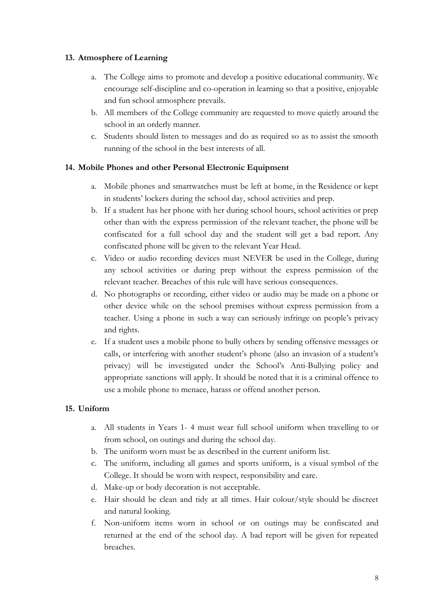## **13. Atmosphere of Learning**

- a. The College aims to promote and develop a positive educational community. We encourage self-discipline and co-operation in learning so that a positive, enjoyable and fun school atmosphere prevails.
- b. All members of the College community are requested to move quietly around the school in an orderly manner.
- c. Students should listen to messages and do as required so as to assist the smooth running of the school in the best interests of all.

## **14. Mobile Phones and other Personal Electronic Equipment**

- a. Mobile phones and smartwatches must be left at home, in the Residence or kept in students' lockers during the school day, school activities and prep.
- b. If a student has her phone with her during school hours, school activities or prep other than with the express permission of the relevant teacher, the phone will be confiscated for a full school day and the student will get a bad report. Any confiscated phone will be given to the relevant Year Head.
- c. Video or audio recording devices must NEVER be used in the College, during any school activities or during prep without the express permission of the relevant teacher. Breaches of this rule will have serious consequences.
- d. No photographs or recording, either video or audio may be made on a phone or other device while on the school premises without express permission from a teacher. Using a phone in such a way can seriously infringe on people's privacy and rights.
- e. If a student uses a mobile phone to bully others by sending offensive messages or calls, or interfering with another student's phone (also an invasion of a student's privacy) will be investigated under the School's Anti-Bullying policy and appropriate sanctions will apply. It should be noted that it is a criminal offence to use a mobile phone to menace, harass or offend another person.

## **15. Uniform**

- a. All students in Years 1- 4 must wear full school uniform when travelling to or from school, on outings and during the school day.
- b. The uniform worn must be as described in the current uniform list.
- c. The uniform, including all games and sports uniform, is a visual symbol of the College. It should be worn with respect, responsibility and care.
- d. Make-up or body decoration is not acceptable.
- e. Hair should be clean and tidy at all times. Hair colour/style should be discreet and natural looking.
- f. Non-uniform items worn in school or on outings may be confiscated and returned at the end of the school day. A bad report will be given for repeated breaches.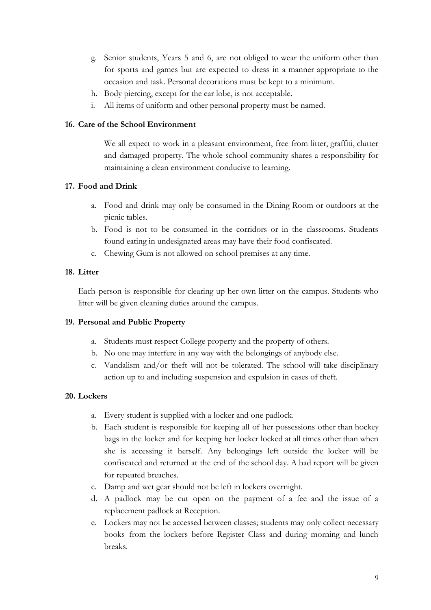- g. Senior students, Years 5 and 6, are not obliged to wear the uniform other than for sports and games but are expected to dress in a manner appropriate to the occasion and task. Personal decorations must be kept to a minimum.
- h. Body piercing, except for the ear lobe, is not acceptable.
- i. All items of uniform and other personal property must be named.

#### **16. Care of the School Environment**

We all expect to work in a pleasant environment, free from litter, graffiti, clutter and damaged property. The whole school community shares a responsibility for maintaining a clean environment conducive to learning.

#### **17. Food and Drink**

- a. Food and drink may only be consumed in the Dining Room or outdoors at the picnic tables.
- b. Food is not to be consumed in the corridors or in the classrooms. Students found eating in undesignated areas may have their food confiscated.
- c. Chewing Gum is not allowed on school premises at any time.

## **18. Litter**

Each person is responsible for clearing up her own litter on the campus. Students who litter will be given cleaning duties around the campus.

## **19. Personal and Public Property**

- a. Students must respect College property and the property of others.
- b. No one may interfere in any way with the belongings of anybody else.
- c. Vandalism and/or theft will not be tolerated. The school will take disciplinary action up to and including suspension and expulsion in cases of theft.

## **20. Lockers**

- a. Every student is supplied with a locker and one padlock.
- b. Each student is responsible for keeping all of her possessions other than hockey bags in the locker and for keeping her locker locked at all times other than when she is accessing it herself. Any belongings left outside the locker will be confiscated and returned at the end of the school day. A bad report will be given for repeated breaches.
- c. Damp and wet gear should not be left in lockers overnight.
- d. A padlock may be cut open on the payment of a fee and the issue of a replacement padlock at Reception.
- e. Lockers may not be accessed between classes; students may only collect necessary books from the lockers before Register Class and during morning and lunch breaks.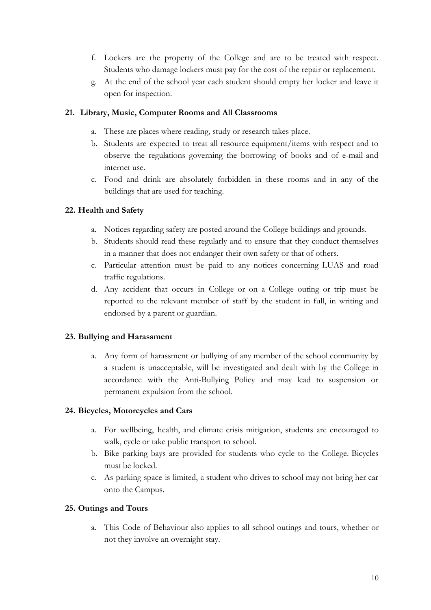- f. Lockers are the property of the College and are to be treated with respect. Students who damage lockers must pay for the cost of the repair or replacement.
- g. At the end of the school year each student should empty her locker and leave it open for inspection.

#### **21. Library, Music, Computer Rooms and All Classrooms**

- a. These are places where reading, study or research takes place.
- b. Students are expected to treat all resource equipment/items with respect and to observe the regulations governing the borrowing of books and of e-mail and internet use.
- c. Food and drink are absolutely forbidden in these rooms and in any of the buildings that are used for teaching.

## **22. Health and Safety**

- a. Notices regarding safety are posted around the College buildings and grounds.
- b. Students should read these regularly and to ensure that they conduct themselves in a manner that does not endanger their own safety or that of others.
- c. Particular attention must be paid to any notices concerning LUAS and road traffic regulations.
- d. Any accident that occurs in College or on a College outing or trip must be reported to the relevant member of staff by the student in full, in writing and endorsed by a parent or guardian.

## **23. Bullying and Harassment**

a. Any form of harassment or bullying of any member of the school community by a student is unacceptable, will be investigated and dealt with by the College in accordance with the Anti-Bullying Policy and may lead to suspension or permanent expulsion from the school.

## **24. Bicycles, Motorcycles and Cars**

- a. For wellbeing, health, and climate crisis mitigation, students are encouraged to walk, cycle or take public transport to school.
- b. Bike parking bays are provided for students who cycle to the College. Bicycles must be locked.
- c. As parking space is limited, a student who drives to school may not bring her car onto the Campus.

## **25. Outings and Tours**

a. This Code of Behaviour also applies to all school outings and tours, whether or not they involve an overnight stay.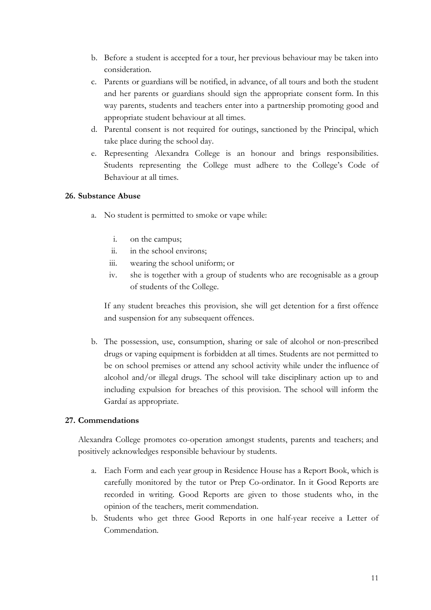- b. Before a student is accepted for a tour, her previous behaviour may be taken into consideration.
- c. Parents or guardians will be notified, in advance, of all tours and both the student and her parents or guardians should sign the appropriate consent form. In this way parents, students and teachers enter into a partnership promoting good and appropriate student behaviour at all times.
- d. Parental consent is not required for outings, sanctioned by the Principal, which take place during the school day.
- e. Representing Alexandra College is an honour and brings responsibilities. Students representing the College must adhere to the College's Code of Behaviour at all times.

#### **26. Substance Abuse**

- a. No student is permitted to smoke or vape while:
	- i. on the campus;
	- ii. in the school environs;
	- iii. wearing the school uniform; or
	- iv. she is together with a group of students who are recognisable as a group of students of the College.

If any student breaches this provision, she will get detention for a first offence and suspension for any subsequent offences.

b. The possession, use, consumption, sharing or sale of alcohol or non-prescribed drugs or vaping equipment is forbidden at all times. Students are not permitted to be on school premises or attend any school activity while under the influence of alcohol and/or illegal drugs. The school will take disciplinary action up to and including expulsion for breaches of this provision. The school will inform the Gardaí as appropriate.

## **27. Commendations**

Alexandra College promotes co-operation amongst students, parents and teachers; and positively acknowledges responsible behaviour by students.

- a. Each Form and each year group in Residence House has a Report Book, which is carefully monitored by the tutor or Prep Co-ordinator. In it Good Reports are recorded in writing. Good Reports are given to those students who, in the opinion of the teachers, merit commendation.
- b. Students who get three Good Reports in one half-year receive a Letter of Commendation.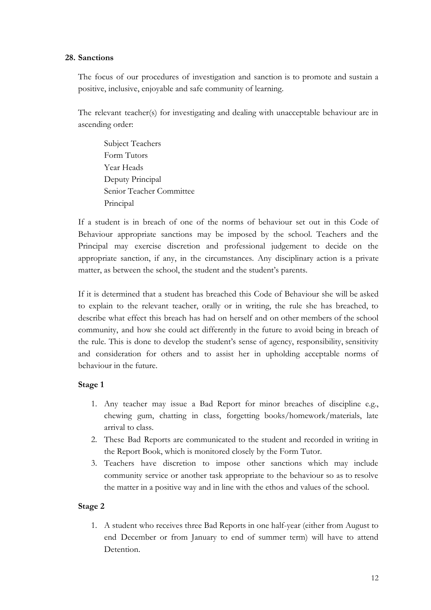#### **28. Sanctions**

The focus of our procedures of investigation and sanction is to promote and sustain a positive, inclusive, enjoyable and safe community of learning.

The relevant teacher(s) for investigating and dealing with unacceptable behaviour are in ascending order:

Subject Teachers Form Tutors Year Heads Deputy Principal Senior Teacher Committee Principal

If a student is in breach of one of the norms of behaviour set out in this Code of Behaviour appropriate sanctions may be imposed by the school. Teachers and the Principal may exercise discretion and professional judgement to decide on the appropriate sanction, if any, in the circumstances. Any disciplinary action is a private matter, as between the school, the student and the student's parents.

If it is determined that a student has breached this Code of Behaviour she will be asked to explain to the relevant teacher, orally or in writing, the rule she has breached, to describe what effect this breach has had on herself and on other members of the school community, and how she could act differently in the future to avoid being in breach of the rule. This is done to develop the student's sense of agency, responsibility, sensitivity and consideration for others and to assist her in upholding acceptable norms of behaviour in the future.

#### **Stage 1**

- 1. Any teacher may issue a Bad Report for minor breaches of discipline e.g., chewing gum, chatting in class, forgetting books/homework/materials, late arrival to class.
- 2. These Bad Reports are communicated to the student and recorded in writing in the Report Book, which is monitored closely by the Form Tutor.
- 3. Teachers have discretion to impose other sanctions which may include community service or another task appropriate to the behaviour so as to resolve the matter in a positive way and in line with the ethos and values of the school.

## **Stage 2**

1. A student who receives three Bad Reports in one half-year (either from August to end December or from January to end of summer term) will have to attend Detention.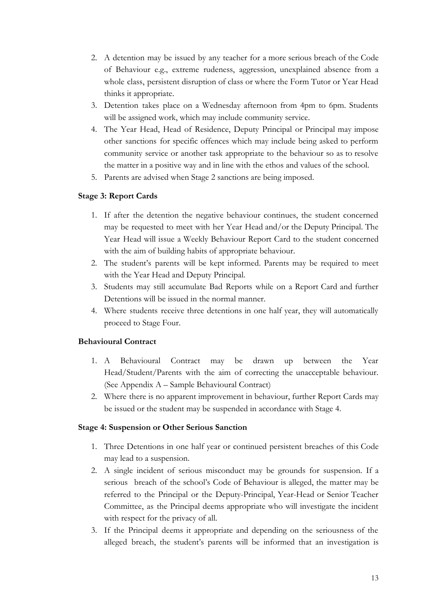- 2. A detention may be issued by any teacher for a more serious breach of the Code of Behaviour e.g., extreme rudeness, aggression, unexplained absence from a whole class, persistent disruption of class or where the Form Tutor or Year Head thinks it appropriate.
- 3. Detention takes place on a Wednesday afternoon from 4pm to 6pm. Students will be assigned work, which may include community service.
- 4. The Year Head, Head of Residence, Deputy Principal or Principal may impose other sanctions for specific offences which may include being asked to perform community service or another task appropriate to the behaviour so as to resolve the matter in a positive way and in line with the ethos and values of the school.
- 5. Parents are advised when Stage 2 sanctions are being imposed.

## **Stage 3: Report Cards**

- 1. If after the detention the negative behaviour continues, the student concerned may be requested to meet with her Year Head and/or the Deputy Principal. The Year Head will issue a Weekly Behaviour Report Card to the student concerned with the aim of building habits of appropriate behaviour.
- 2. The student's parents will be kept informed. Parents may be required to meet with the Year Head and Deputy Principal.
- 3. Students may still accumulate Bad Reports while on a Report Card and further Detentions will be issued in the normal manner.
- 4. Where students receive three detentions in one half year, they will automatically proceed to Stage Four.

## **Behavioural Contract**

- 1. A Behavioural Contract may be drawn up between the Year Head/Student/Parents with the aim of correcting the unacceptable behaviour. (See Appendix A – Sample Behavioural Contract)
- 2. Where there is no apparent improvement in behaviour, further Report Cards may be issued or the student may be suspended in accordance with Stage 4.

#### **Stage 4: Suspension or Other Serious Sanction**

- 1. Three Detentions in one half year or continued persistent breaches of this Code may lead to a suspension.
- 2. A single incident of serious misconduct may be grounds for suspension. If a serious breach of the school's Code of Behaviour is alleged, the matter may be referred to the Principal or the Deputy-Principal, Year-Head or Senior Teacher Committee, as the Principal deems appropriate who will investigate the incident with respect for the privacy of all.
- 3. If the Principal deems it appropriate and depending on the seriousness of the alleged breach, the student's parents will be informed that an investigation is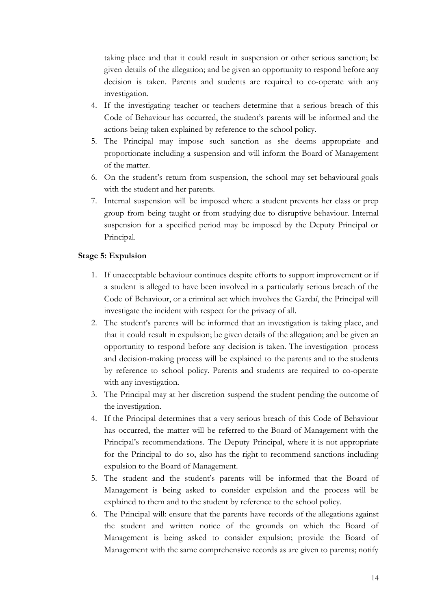taking place and that it could result in suspension or other serious sanction; be given details of the allegation; and be given an opportunity to respond before any decision is taken. Parents and students are required to co-operate with any investigation.

- 4. If the investigating teacher or teachers determine that a serious breach of this Code of Behaviour has occurred, the student's parents will be informed and the actions being taken explained by reference to the school policy.
- 5. The Principal may impose such sanction as she deems appropriate and proportionate including a suspension and will inform the Board of Management of the matter.
- 6. On the student's return from suspension, the school may set behavioural goals with the student and her parents.
- 7. Internal suspension will be imposed where a student prevents her class or prep group from being taught or from studying due to disruptive behaviour. Internal suspension for a specified period may be imposed by the Deputy Principal or Principal.

#### **Stage 5: Expulsion**

- 1. If unacceptable behaviour continues despite efforts to support improvement or if a student is alleged to have been involved in a particularly serious breach of the Code of Behaviour, or a criminal act which involves the Gardaí, the Principal will investigate the incident with respect for the privacy of all.
- 2. The student's parents will be informed that an investigation is taking place, and that it could result in expulsion; be given details of the allegation; and be given an opportunity to respond before any decision is taken. The investigation process and decision-making process will be explained to the parents and to the students by reference to school policy. Parents and students are required to co-operate with any investigation.
- 3. The Principal may at her discretion suspend the student pending the outcome of the investigation.
- 4. If the Principal determines that a very serious breach of this Code of Behaviour has occurred, the matter will be referred to the Board of Management with the Principal's recommendations. The Deputy Principal, where it is not appropriate for the Principal to do so, also has the right to recommend sanctions including expulsion to the Board of Management.
- 5. The student and the student's parents will be informed that the Board of Management is being asked to consider expulsion and the process will be explained to them and to the student by reference to the school policy.
- 6. The Principal will: ensure that the parents have records of the allegations against the student and written notice of the grounds on which the Board of Management is being asked to consider expulsion; provide the Board of Management with the same comprehensive records as are given to parents; notify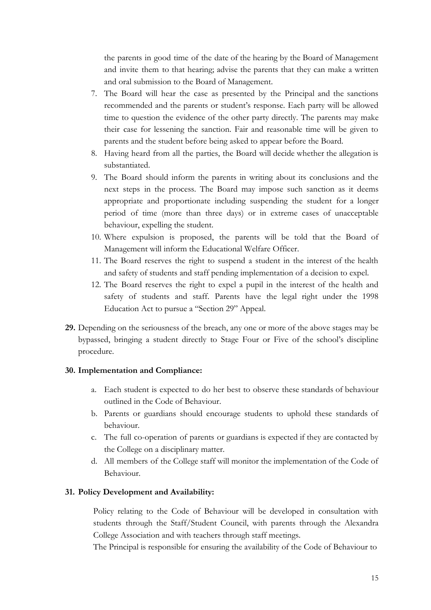the parents in good time of the date of the hearing by the Board of Management and invite them to that hearing; advise the parents that they can make a written and oral submission to the Board of Management.

- 7. The Board will hear the case as presented by the Principal and the sanctions recommended and the parents or student's response. Each party will be allowed time to question the evidence of the other party directly. The parents may make their case for lessening the sanction. Fair and reasonable time will be given to parents and the student before being asked to appear before the Board.
- 8. Having heard from all the parties, the Board will decide whether the allegation is substantiated.
- 9. The Board should inform the parents in writing about its conclusions and the next steps in the process. The Board may impose such sanction as it deems appropriate and proportionate including suspending the student for a longer period of time (more than three days) or in extreme cases of unacceptable behaviour, expelling the student.
- 10. Where expulsion is proposed, the parents will be told that the Board of Management will inform the Educational Welfare Officer.
- 11. The Board reserves the right to suspend a student in the interest of the health and safety of students and staff pending implementation of a decision to expel.
- 12. The Board reserves the right to expel a pupil in the interest of the health and safety of students and staff. Parents have the legal right under the 1998 Education Act to pursue a "Section 29" Appeal.
- **29.** Depending on the seriousness of the breach, any one or more of the above stages may be bypassed, bringing a student directly to Stage Four or Five of the school's discipline procedure.

#### **30. Implementation and Compliance:**

- a. Each student is expected to do her best to observe these standards of behaviour outlined in the Code of Behaviour.
- b. Parents or guardians should encourage students to uphold these standards of behaviour.
- c. The full co-operation of parents or guardians is expected if they are contacted by the College on a disciplinary matter.
- d. All members of the College staff will monitor the implementation of the Code of Behaviour.

#### **31. Policy Development and Availability:**

Policy relating to the Code of Behaviour will be developed in consultation with students through the Staff/Student Council, with parents through the Alexandra College Association and with teachers through staff meetings.

The Principal is responsible for ensuring the availability of the Code of Behaviour to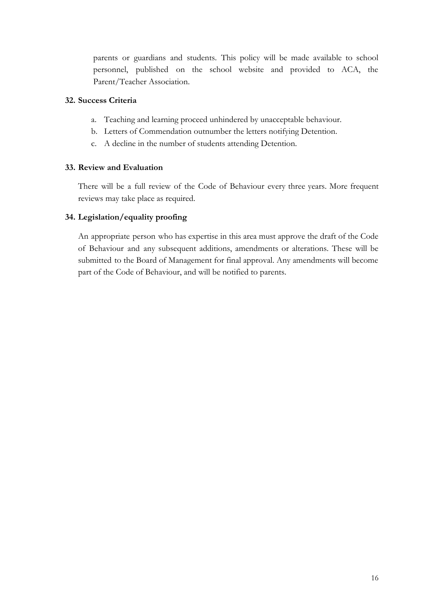parents or guardians and students. This policy will be made available to school personnel, published on the school website and provided to ACA, the Parent/Teacher Association.

#### **32. Success Criteria**

- a. Teaching and learning proceed unhindered by unacceptable behaviour.
- b. Letters of Commendation outnumber the letters notifying Detention.
- c. A decline in the number of students attending Detention.

#### **33. Review and Evaluation**

There will be a full review of the Code of Behaviour every three years. More frequent reviews may take place as required.

#### **34. Legislation/equality proofing**

An appropriate person who has expertise in this area must approve the draft of the Code of Behaviour and any subsequent additions, amendments or alterations. These will be submitted to the Board of Management for final approval. Any amendments will become part of the Code of Behaviour, and will be notified to parents.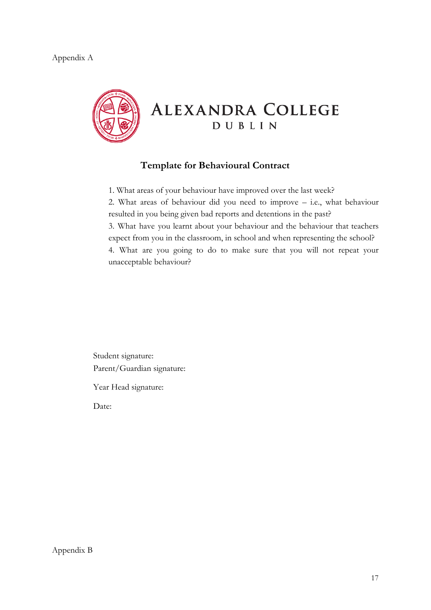#### Appendix A



## **Template for Behavioural Contract**

1. What areas of your behaviour have improved over the last week?

2. What areas of behaviour did you need to improve – i.e., what behaviour resulted in you being given bad reports and detentions in the past?

3. What have you learnt about your behaviour and the behaviour that teachers expect from you in the classroom, in school and when representing the school?

4. What are you going to do to make sure that you will not repeat your unacceptable behaviour?

Student signature: Parent/Guardian signature:

Year Head signature:

Date:

Appendix B